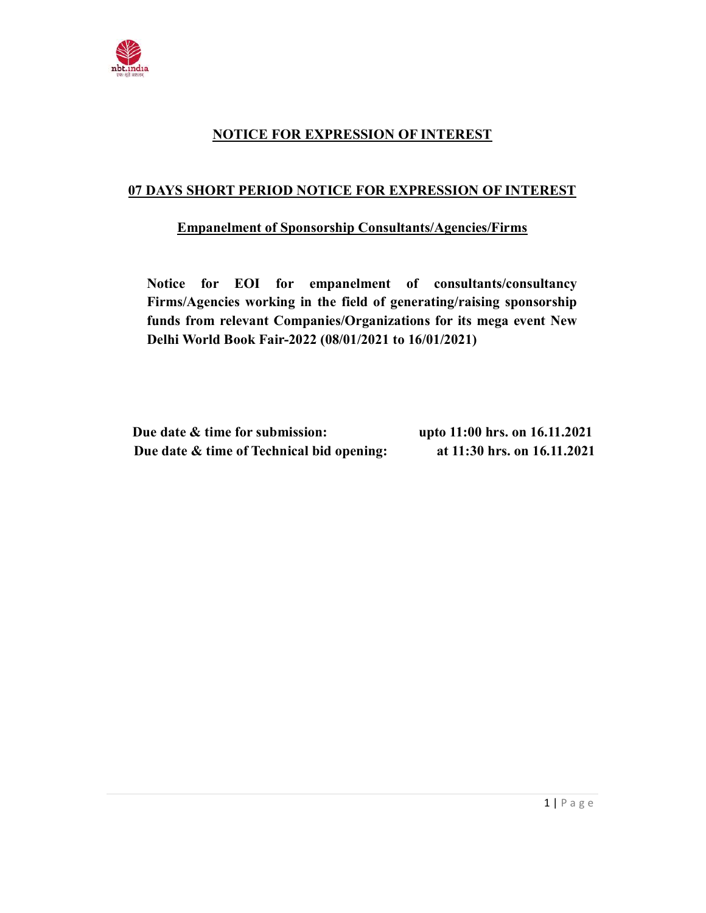

## NOTICE FOR EXPRESSION OF INTEREST

## 07 DAYS SHORT PERIOD NOTICE FOR EXPRESSION OF INTEREST

## Empanelment of Sponsorship Consultants/Agencies/Firms

Notice for EOI for empanelment of consultants/consultancy Firms/Agencies working in the field of generating/raising sponsorship funds from relevant Companies/Organizations for its mega event New Delhi World Book Fair-2022 (08/01/2021 to 16/01/2021)

| Due date & time for submission:           | upto 11:00 hrs. on 16.11.2021 |
|-------------------------------------------|-------------------------------|
| Due date & time of Technical bid opening: | at 11:30 hrs. on 16.11.2021   |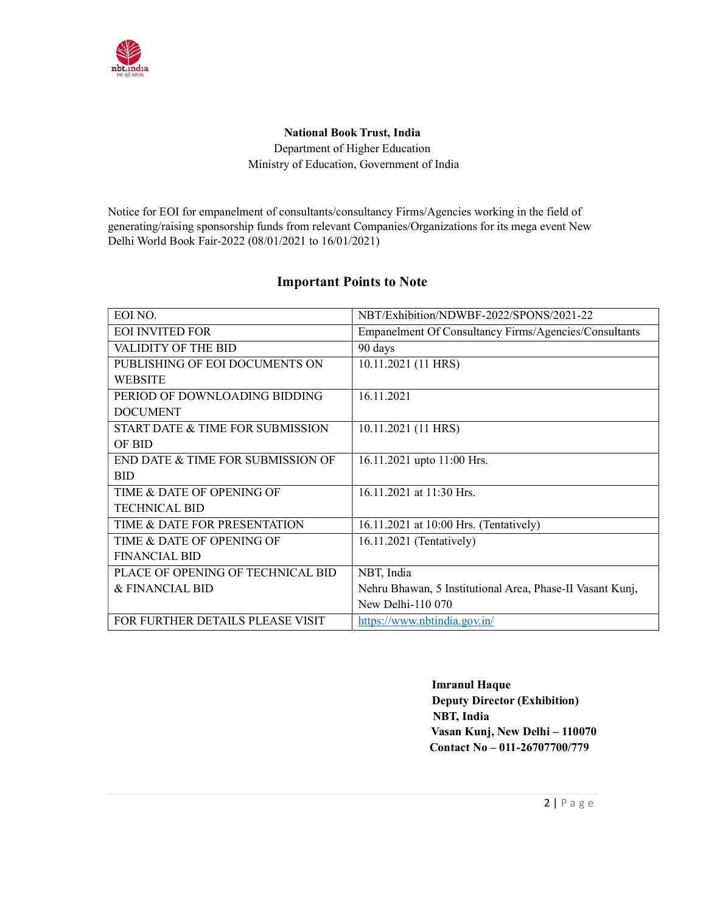

## National Book Trust, India Department of Higher Education Ministry of Education, Government of India

Notice for EOI for empanelment of consultants/consultancy Firms/Agencies working in the field of generating/raising sponsorship funds from relevant Companies/Organizations for its mega event New Delhi World Book Fair-2022 (08/01/2021 to 16/01/2021)

## Important Points to Note

| EOI NO.                           | NBT/Exhibition/NDWBF-2022/SPONS/2021-22                   |
|-----------------------------------|-----------------------------------------------------------|
| <b>EOI INVITED FOR</b>            | Empanelment Of Consultancy Firms/Agencies/Consultants     |
| VALIDITY OF THE BID               | 90 days                                                   |
| PUBLISHING OF EOI DOCUMENTS ON    | 10.11.2021 (11 HRS)                                       |
| <b>WEBSITE</b>                    |                                                           |
| PERIOD OF DOWNLOADING BIDDING     | 16.11.2021                                                |
| <b>DOCUMENT</b>                   |                                                           |
| START DATE & TIME FOR SUBMISSION  | 10.11.2021 (11 HRS)                                       |
| OF BID                            |                                                           |
| END DATE & TIME FOR SUBMISSION OF | 16.11.2021 upto 11:00 Hrs.                                |
| <b>BID</b>                        |                                                           |
| TIME & DATE OF OPENING OF         | 16.11.2021 at 11:30 Hrs.                                  |
| <b>TECHNICAL BID</b>              |                                                           |
| TIME & DATE FOR PRESENTATION      | 16.11.2021 at 10:00 Hrs. (Tentatively)                    |
| TIME & DATE OF OPENING OF         | 16.11.2021 (Tentatively)                                  |
| <b>FINANCIAL BID</b>              |                                                           |
| PLACE OF OPENING OF TECHNICAL BID | NBT, India                                                |
| & FINANCIAL BID                   | Nehru Bhawan, 5 Institutional Area, Phase-II Vasant Kunj, |
|                                   | New Delhi-110 070                                         |
| FOR FURTHER DETAILS PLEASE VISIT  | https://www.nbtindia.gov.in/                              |

 Imranul Haque Deputy Director (Exhibition) NBT, India Vasan Kunj, New Delhi – 110070 Contact No – 011-26707700/779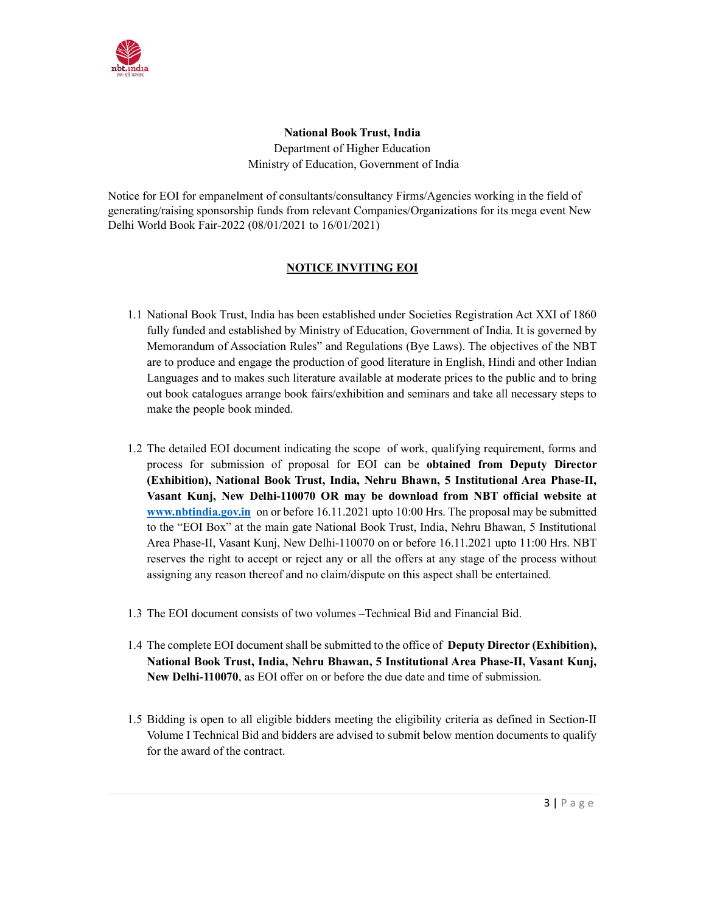

National Book Trust, India Department of Higher Education Ministry of Education, Government of India

Notice for EOI for empanelment of consultants/consultancy Firms/Agencies working in the field of generating/raising sponsorship funds from relevant Companies/Organizations for its mega event New Delhi World Book Fair-2022 (08/01/2021 to 16/01/2021)

### NOTICE INVITING EOI

- 1.1 National Book Trust, India has been established under Societies Registration Act XXI of 1860 fully funded and established by Ministry of Education, Government of India. It is governed by Memorandum of Association Rules" and Regulations (Bye Laws). The objectives of the NBT are to produce and engage the production of good literature in English, Hindi and other Indian Languages and to makes such literature available at moderate prices to the public and to bring out book catalogues arrange book fairs/exhibition and seminars and take all necessary steps to make the people book minded.
- 1.2 The detailed EOI document indicating the scope of work, qualifying requirement, forms and process for submission of proposal for EOI can be obtained from Deputy Director (Exhibition), National Book Trust, India, Nehru Bhawn, 5 Institutional Area Phase-II, Vasant Kunj, New Delhi-110070 OR may be download from NBT official website at www.nbtindia.gov.in on or before 16.11.2021 upto 10:00 Hrs. The proposal may be submitted to the "EOI Box" at the main gate National Book Trust, India, Nehru Bhawan, 5 Institutional Area Phase-II, Vasant Kunj, New Delhi-110070 on or before 16.11.2021 upto 11:00 Hrs. NBT reserves the right to accept or reject any or all the offers at any stage of the process without assigning any reason thereof and no claim/dispute on this aspect shall be entertained.
- 1.3 The EOI document consists of two volumes –Technical Bid and Financial Bid.
- 1.4 The complete EOI document shall be submitted to the office of Deputy Director (Exhibition), National Book Trust, India, Nehru Bhawan, 5 Institutional Area Phase-II, Vasant Kunj, New Delhi-110070, as EOI offer on or before the due date and time of submission.
- 1.5 Bidding is open to all eligible bidders meeting the eligibility criteria as defined in Section-II Volume I Technical Bid and bidders are advised to submit below mention documents to qualify for the award of the contract.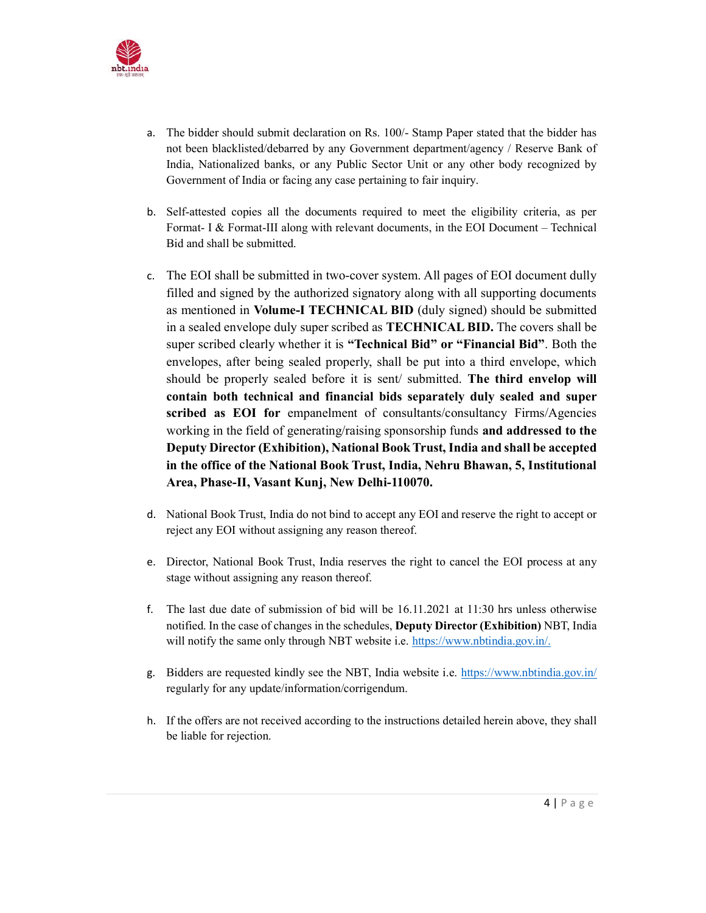

- a. The bidder should submit declaration on Rs. 100/- Stamp Paper stated that the bidder has not been blacklisted/debarred by any Government department/agency / Reserve Bank of India, Nationalized banks, or any Public Sector Unit or any other body recognized by Government of India or facing any case pertaining to fair inquiry.
- b. Self-attested copies all the documents required to meet the eligibility criteria, as per Format- I & Format-III along with relevant documents, in the EOI Document – Technical Bid and shall be submitted.
- c. The EOI shall be submitted in two-cover system. All pages of EOI document dully filled and signed by the authorized signatory along with all supporting documents as mentioned in Volume-I TECHNICAL BID (duly signed) should be submitted in a sealed envelope duly super scribed as TECHNICAL BID. The covers shall be super scribed clearly whether it is "Technical Bid" or "Financial Bid". Both the envelopes, after being sealed properly, shall be put into a third envelope, which should be properly sealed before it is sent/ submitted. The third envelop will contain both technical and financial bids separately duly sealed and super scribed as EOI for empanelment of consultants/consultancy Firms/Agencies working in the field of generating/raising sponsorship funds and addressed to the Deputy Director (Exhibition), National Book Trust, India and shall be accepted in the office of the National Book Trust, India, Nehru Bhawan, 5, Institutional Area, Phase-II, Vasant Kunj, New Delhi-110070.
- d. National Book Trust, India do not bind to accept any EOI and reserve the right to accept or reject any EOI without assigning any reason thereof.
- e. Director, National Book Trust, India reserves the right to cancel the EOI process at any stage without assigning any reason thereof.
- f. The last due date of submission of bid will be 16.11.2021 at 11:30 hrs unless otherwise notified. In the case of changes in the schedules, Deputy Director (Exhibition) NBT, India will notify the same only through NBT website i.e. https://www.nbtindia.gov.in/.
- g. Bidders are requested kindly see the NBT, India website i.e. https://www.nbtindia.gov.in/ regularly for any update/information/corrigendum.
- h. If the offers are not received according to the instructions detailed herein above, they shall be liable for rejection.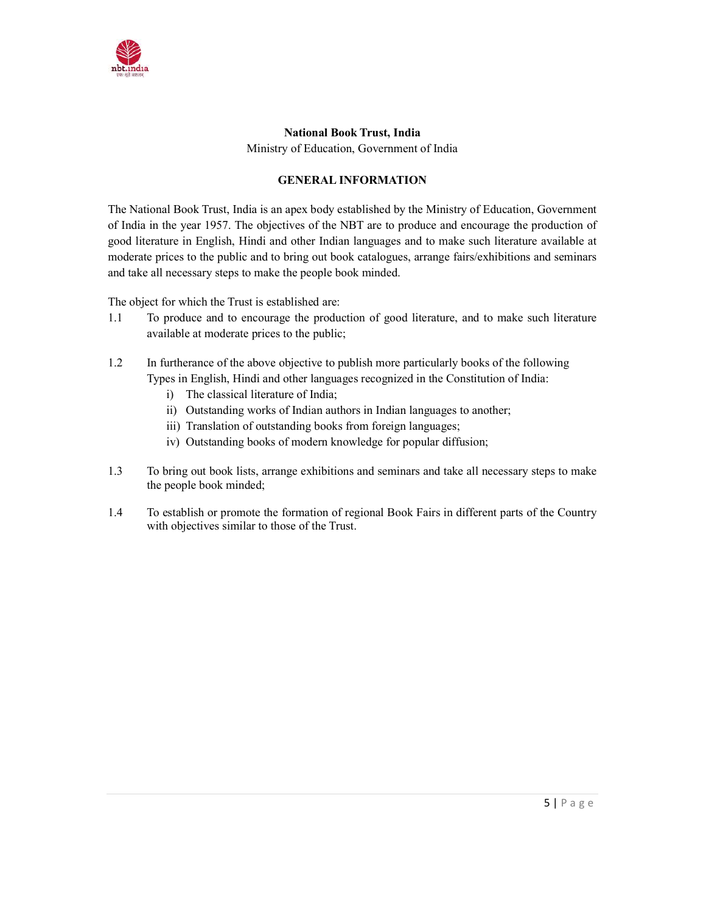

# National Book Trust, India

Ministry of Education, Government of India

## GENERAL INFORMATION

The National Book Trust, India is an apex body established by the Ministry of Education, Government of India in the year 1957. The objectives of the NBT are to produce and encourage the production of good literature in English, Hindi and other Indian languages and to make such literature available at moderate prices to the public and to bring out book catalogues, arrange fairs/exhibitions and seminars and take all necessary steps to make the people book minded.

The object for which the Trust is established are:

- 1.1 To produce and to encourage the production of good literature, and to make such literature available at moderate prices to the public;
- 1.2 In furtherance of the above objective to publish more particularly books of the following Types in English, Hindi and other languages recognized in the Constitution of India:
	- i) The classical literature of India;
	- ii) Outstanding works of Indian authors in Indian languages to another;
	- iii) Translation of outstanding books from foreign languages;
	- iv) Outstanding books of modern knowledge for popular diffusion;
- 1.3 To bring out book lists, arrange exhibitions and seminars and take all necessary steps to make the people book minded;
- 1.4 To establish or promote the formation of regional Book Fairs in different parts of the Country with objectives similar to those of the Trust.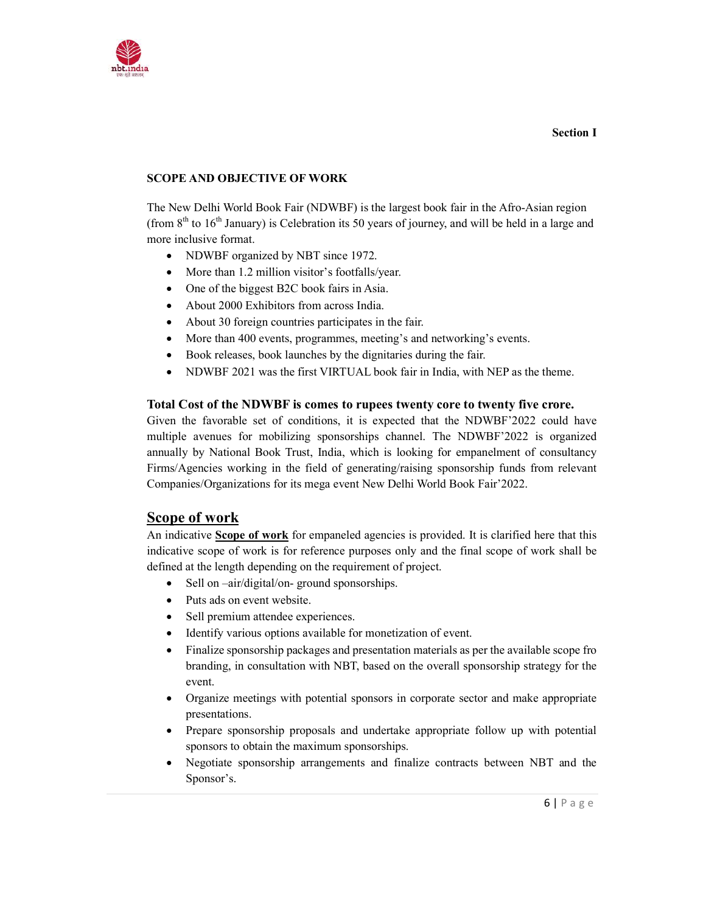

### SCOPE AND OBJECTIVE OF WORK

The New Delhi World Book Fair (NDWBF) is the largest book fair in the Afro-Asian region (from  $8<sup>th</sup>$  to  $16<sup>th</sup>$  January) is Celebration its 50 years of journey, and will be held in a large and more inclusive format.

- NDWBF organized by NBT since 1972.
- More than 1.2 million visitor's footfalls/year.
- One of the biggest B2C book fairs in Asia.
- About 2000 Exhibitors from across India.
- About 30 foreign countries participates in the fair.
- More than 400 events, programmes, meeting's and networking's events.
- Book releases, book launches by the dignitaries during the fair.
- NDWBF 2021 was the first VIRTUAL book fair in India, with NEP as the theme.

#### Total Cost of the NDWBF is comes to rupees twenty core to twenty five crore.

Given the favorable set of conditions, it is expected that the NDWBF'2022 could have multiple avenues for mobilizing sponsorships channel. The NDWBF'2022 is organized annually by National Book Trust, India, which is looking for empanelment of consultancy Firms/Agencies working in the field of generating/raising sponsorship funds from relevant Companies/Organizations for its mega event New Delhi World Book Fair'2022.

## Scope of work

An indicative Scope of work for empaneled agencies is provided. It is clarified here that this indicative scope of work is for reference purposes only and the final scope of work shall be defined at the length depending on the requirement of project.

- Sell on –air/digital/on- ground sponsorships.
- Puts ads on event website.
- Sell premium attendee experiences.
- Identify various options available for monetization of event.
- Finalize sponsorship packages and presentation materials as per the available scope fro branding, in consultation with NBT, based on the overall sponsorship strategy for the event.
- Organize meetings with potential sponsors in corporate sector and make appropriate presentations.
- Prepare sponsorship proposals and undertake appropriate follow up with potential sponsors to obtain the maximum sponsorships.
- Negotiate sponsorship arrangements and finalize contracts between NBT and the Sponsor's.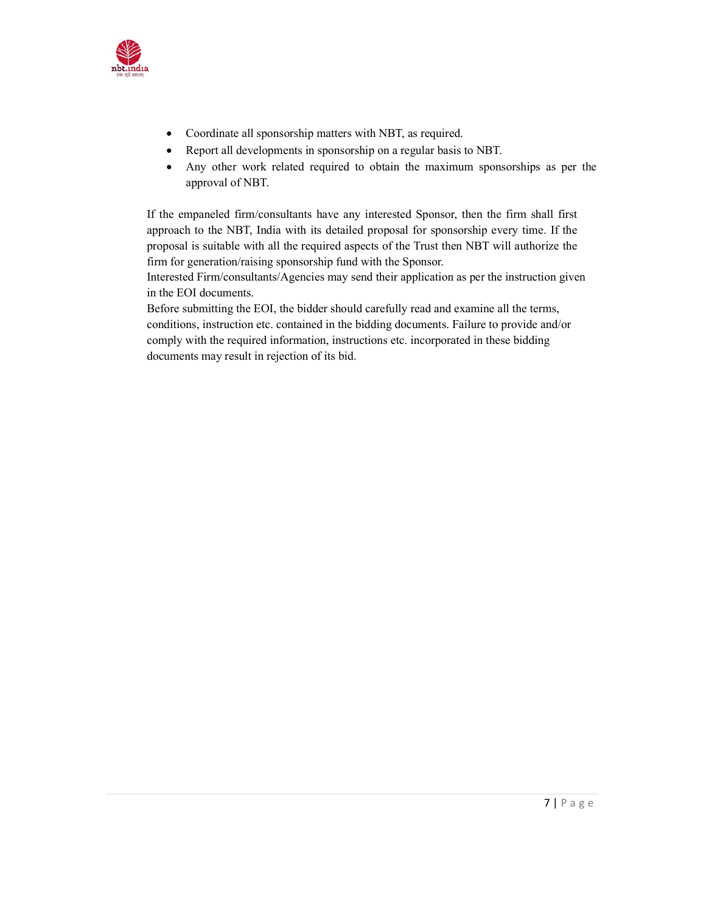

- Coordinate all sponsorship matters with NBT, as required.
- Report all developments in sponsorship on a regular basis to NBT.
- Any other work related required to obtain the maximum sponsorships as per the approval of NBT.

If the empaneled firm/consultants have any interested Sponsor, then the firm shall first approach to the NBT, India with its detailed proposal for sponsorship every time. If the proposal is suitable with all the required aspects of the Trust then NBT will authorize the firm for generation/raising sponsorship fund with the Sponsor.

Interested Firm/consultants/Agencies may send their application as per the instruction given in the EOI documents.

Before submitting the EOI, the bidder should carefully read and examine all the terms, conditions, instruction etc. contained in the bidding documents. Failure to provide and/or comply with the required information, instructions etc. incorporated in these bidding documents may result in rejection of its bid.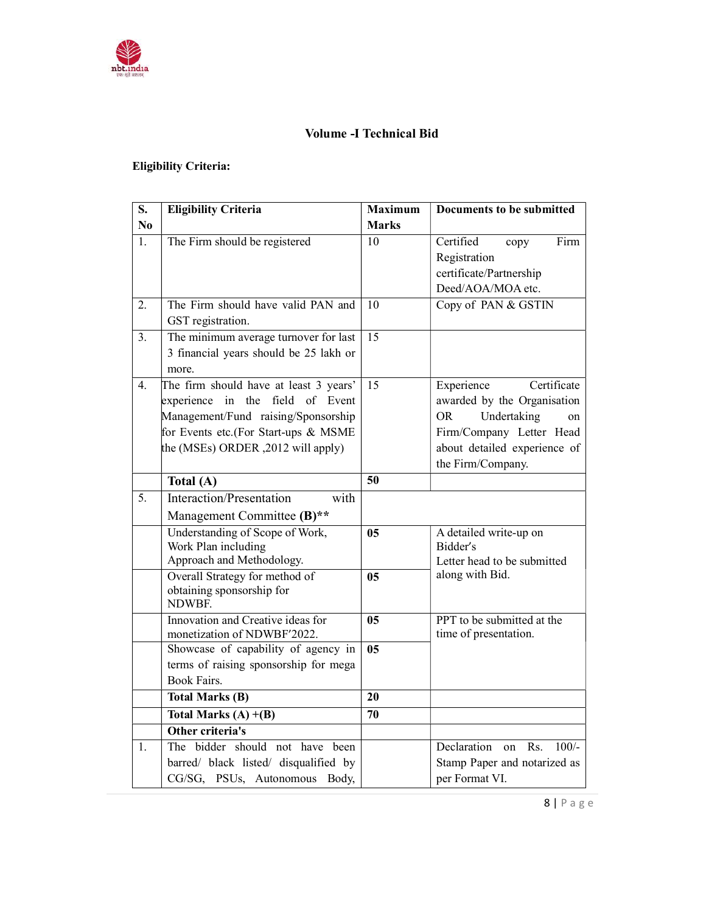

## Volume -I Technical Bid

## Eligibility Criteria:

| S.             | <b>Eligibility Criteria</b>            | <b>Maximum</b>  | <b>Documents to be submitted</b>    |
|----------------|----------------------------------------|-----------------|-------------------------------------|
| N <sub>0</sub> |                                        | <b>Marks</b>    |                                     |
| 1.             | The Firm should be registered          | 10              | Firm<br>Certified<br>copy           |
|                |                                        |                 | Registration                        |
|                |                                        |                 | certificate/Partnership             |
|                |                                        |                 | Deed/AOA/MOA etc.                   |
| 2.             | The Firm should have valid PAN and     | 10              | Copy of PAN & GSTIN                 |
|                | GST registration.                      |                 |                                     |
| 3.             | The minimum average turnover for last  | $\overline{15}$ |                                     |
|                | 3 financial years should be 25 lakh or |                 |                                     |
|                | more.                                  |                 |                                     |
| 4.             | The firm should have at least 3 years' | 15              | Experience<br>Certificate           |
|                | experience in the field of Event       |                 | awarded by the Organisation         |
|                | Management/Fund raising/Sponsorship    |                 | Undertaking<br>OR.<br><sub>on</sub> |
|                | for Events etc.(For Start-ups & MSME   |                 | Firm/Company Letter Head            |
|                | the (MSEs) ORDER, 2012 will apply)     |                 | about detailed experience of        |
|                |                                        |                 | the Firm/Company.                   |
|                | Total (A)                              | 50              |                                     |
| 5.             | Interaction/Presentation<br>with       |                 |                                     |
|                | Management Committee (B)**             |                 |                                     |
|                | Understanding of Scope of Work,        | 05              | A detailed write-up on              |
|                | Work Plan including                    |                 | Bidder's                            |
|                | Approach and Methodology.              |                 | Letter head to be submitted         |
|                | Overall Strategy for method of         | 05              | along with Bid.                     |
|                | obtaining sponsorship for<br>NDWBF.    |                 |                                     |
|                | Innovation and Creative ideas for      | 05              | PPT to be submitted at the          |
|                | monetization of NDWBF'2022.            |                 | time of presentation.               |
|                | Showcase of capability of agency in    | 0 <sub>5</sub>  |                                     |
|                | terms of raising sponsorship for mega  |                 |                                     |
|                | <b>Book Fairs.</b>                     |                 |                                     |
|                | <b>Total Marks (B)</b>                 | 20              |                                     |
|                | Total Marks $(A) + (B)$                | 70              |                                     |
|                | Other criteria's                       |                 |                                     |
| 1.             | The bidder should not have been        |                 | Declaration<br>Rs.<br>$100/-$<br>on |
|                | barred/ black listed/ disqualified by  |                 | Stamp Paper and notarized as        |
|                | CG/SG, PSUs, Autonomous Body,          |                 | per Format VI.                      |

8 | P a g e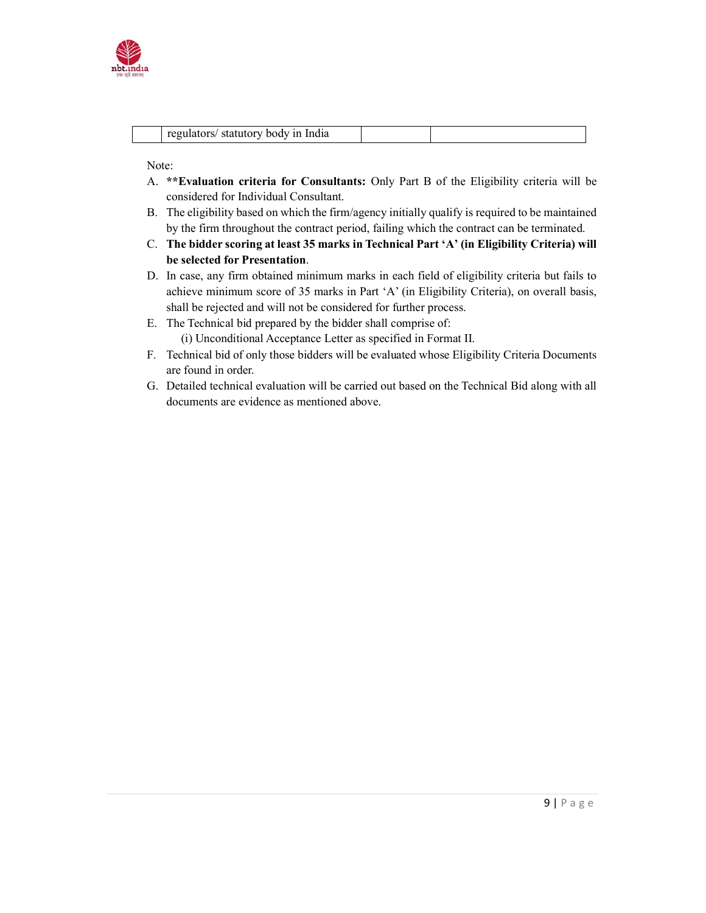

|  | regulators/ statutory body in India |
|--|-------------------------------------|
|--|-------------------------------------|

Note:

- A. \*\*Evaluation criteria for Consultants: Only Part B of the Eligibility criteria will be considered for Individual Consultant.
- B. The eligibility based on which the firm/agency initially qualify is required to be maintained by the firm throughout the contract period, failing which the contract can be terminated.
- C. The bidder scoring at least 35 marks in Technical Part 'A' (in Eligibility Criteria) will be selected for Presentation.
- D. In case, any firm obtained minimum marks in each field of eligibility criteria but fails to achieve minimum score of 35 marks in Part 'A' (in Eligibility Criteria), on overall basis, shall be rejected and will not be considered for further process.
- E. The Technical bid prepared by the bidder shall comprise of: (i) Unconditional Acceptance Letter as specified in Format II.
- F. Technical bid of only those bidders will be evaluated whose Eligibility Criteria Documents are found in order.
- G. Detailed technical evaluation will be carried out based on the Technical Bid along with all documents are evidence as mentioned above.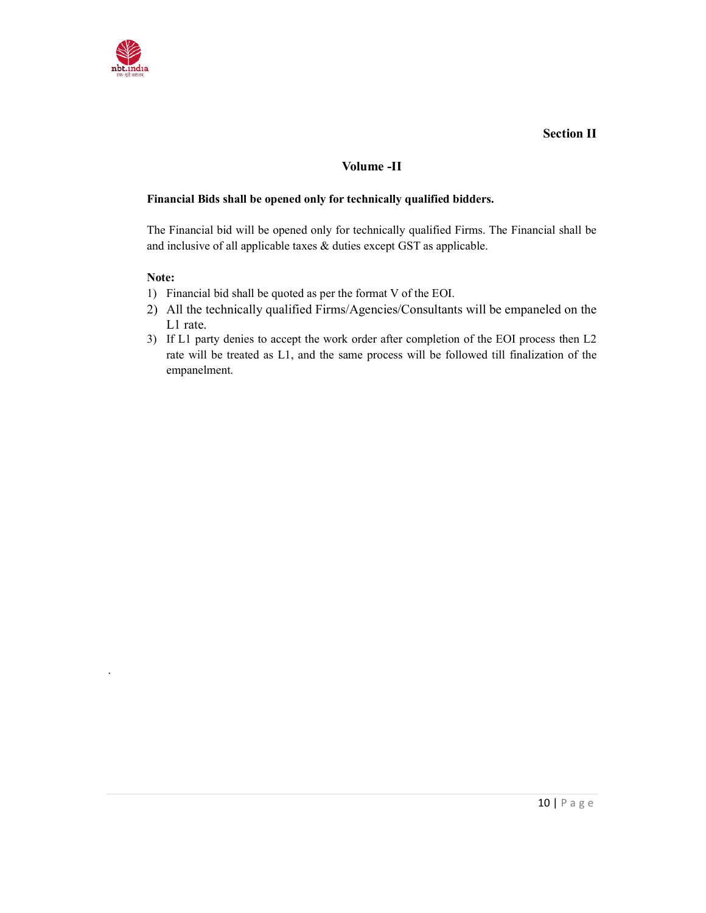

### Section II

### Volume -II

#### Financial Bids shall be opened only for technically qualified bidders.

The Financial bid will be opened only for technically qualified Firms. The Financial shall be and inclusive of all applicable taxes & duties except GST as applicable.

#### Note:

.

- 1) Financial bid shall be quoted as per the format V of the EOI.
- 2) All the technically qualified Firms/Agencies/Consultants will be empaneled on the L1 rate.
- 3) If L1 party denies to accept the work order after completion of the EOI process then L2 rate will be treated as L1, and the same process will be followed till finalization of the empanelment.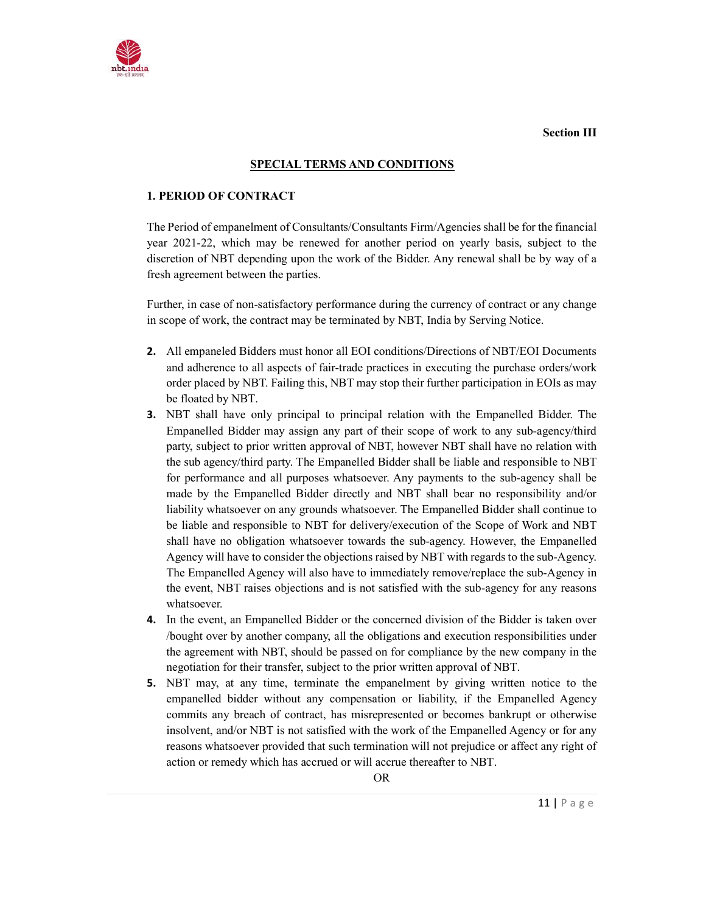

Section III

#### SPECIAL TERMS AND CONDITIONS

#### 1. PERIOD OF CONTRACT

The Period of empanelment of Consultants/Consultants Firm/Agencies shall be for the financial year 2021-22, which may be renewed for another period on yearly basis, subject to the discretion of NBT depending upon the work of the Bidder. Any renewal shall be by way of a fresh agreement between the parties.

Further, in case of non-satisfactory performance during the currency of contract or any change in scope of work, the contract may be terminated by NBT, India by Serving Notice.

- 2. All empaneled Bidders must honor all EOI conditions/Directions of NBT/EOI Documents and adherence to all aspects of fair-trade practices in executing the purchase orders/work order placed by NBT. Failing this, NBT may stop their further participation in EOIs as may be floated by NBT.
- 3. NBT shall have only principal to principal relation with the Empanelled Bidder. The Empanelled Bidder may assign any part of their scope of work to any sub-agency/third party, subject to prior written approval of NBT, however NBT shall have no relation with the sub agency/third party. The Empanelled Bidder shall be liable and responsible to NBT for performance and all purposes whatsoever. Any payments to the sub-agency shall be made by the Empanelled Bidder directly and NBT shall bear no responsibility and/or liability whatsoever on any grounds whatsoever. The Empanelled Bidder shall continue to be liable and responsible to NBT for delivery/execution of the Scope of Work and NBT shall have no obligation whatsoever towards the sub-agency. However, the Empanelled Agency will have to consider the objections raised by NBT with regards to the sub-Agency. The Empanelled Agency will also have to immediately remove/replace the sub-Agency in the event, NBT raises objections and is not satisfied with the sub-agency for any reasons whatsoever.
- 4. In the event, an Empanelled Bidder or the concerned division of the Bidder is taken over /bought over by another company, all the obligations and execution responsibilities under the agreement with NBT, should be passed on for compliance by the new company in the negotiation for their transfer, subject to the prior written approval of NBT.
- 5. NBT may, at any time, terminate the empanelment by giving written notice to the empanelled bidder without any compensation or liability, if the Empanelled Agency commits any breach of contract, has misrepresented or becomes bankrupt or otherwise insolvent, and/or NBT is not satisfied with the work of the Empanelled Agency or for any reasons whatsoever provided that such termination will not prejudice or affect any right of action or remedy which has accrued or will accrue thereafter to NBT.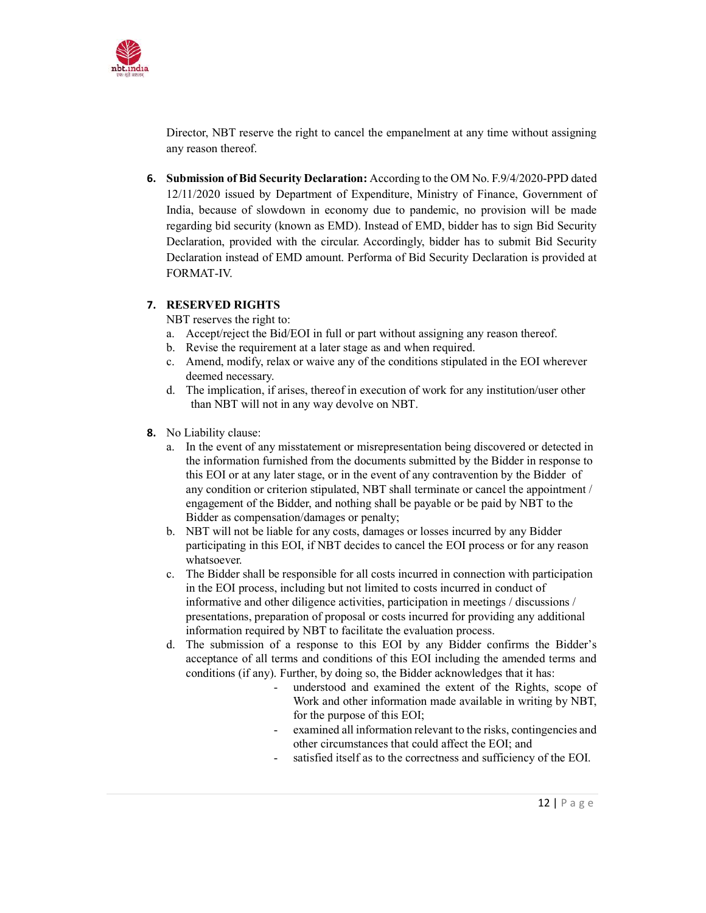

Director, NBT reserve the right to cancel the empanelment at any time without assigning any reason thereof.

6. Submission of Bid Security Declaration: According to the OM No. F.9/4/2020-PPD dated 12/11/2020 issued by Department of Expenditure, Ministry of Finance, Government of India, because of slowdown in economy due to pandemic, no provision will be made regarding bid security (known as EMD). Instead of EMD, bidder has to sign Bid Security Declaration, provided with the circular. Accordingly, bidder has to submit Bid Security Declaration instead of EMD amount. Performa of Bid Security Declaration is provided at FORMAT-IV.

#### 7. RESERVED RIGHTS

NBT reserves the right to:

- a. Accept/reject the Bid/EOI in full or part without assigning any reason thereof.
- b. Revise the requirement at a later stage as and when required.
- c. Amend, modify, relax or waive any of the conditions stipulated in the EOI wherever deemed necessary.
- d. The implication, if arises, thereof in execution of work for any institution/user other than NBT will not in any way devolve on NBT.
- 8. No Liability clause:
	- a. In the event of any misstatement or misrepresentation being discovered or detected in the information furnished from the documents submitted by the Bidder in response to this EOI or at any later stage, or in the event of any contravention by the Bidder of any condition or criterion stipulated, NBT shall terminate or cancel the appointment / engagement of the Bidder, and nothing shall be payable or be paid by NBT to the Bidder as compensation/damages or penalty;
	- b. NBT will not be liable for any costs, damages or losses incurred by any Bidder participating in this EOI, if NBT decides to cancel the EOI process or for any reason whatsoever.
	- c. The Bidder shall be responsible for all costs incurred in connection with participation in the EOI process, including but not limited to costs incurred in conduct of informative and other diligence activities, participation in meetings / discussions / presentations, preparation of proposal or costs incurred for providing any additional information required by NBT to facilitate the evaluation process.
	- d. The submission of a response to this EOI by any Bidder confirms the Bidder's acceptance of all terms and conditions of this EOI including the amended terms and conditions (if any). Further, by doing so, the Bidder acknowledges that it has:
		- understood and examined the extent of the Rights, scope of Work and other information made available in writing by NBT, for the purpose of this EOI;
		- examined all information relevant to the risks, contingencies and other circumstances that could affect the EOI; and
		- satisfied itself as to the correctness and sufficiency of the EOI.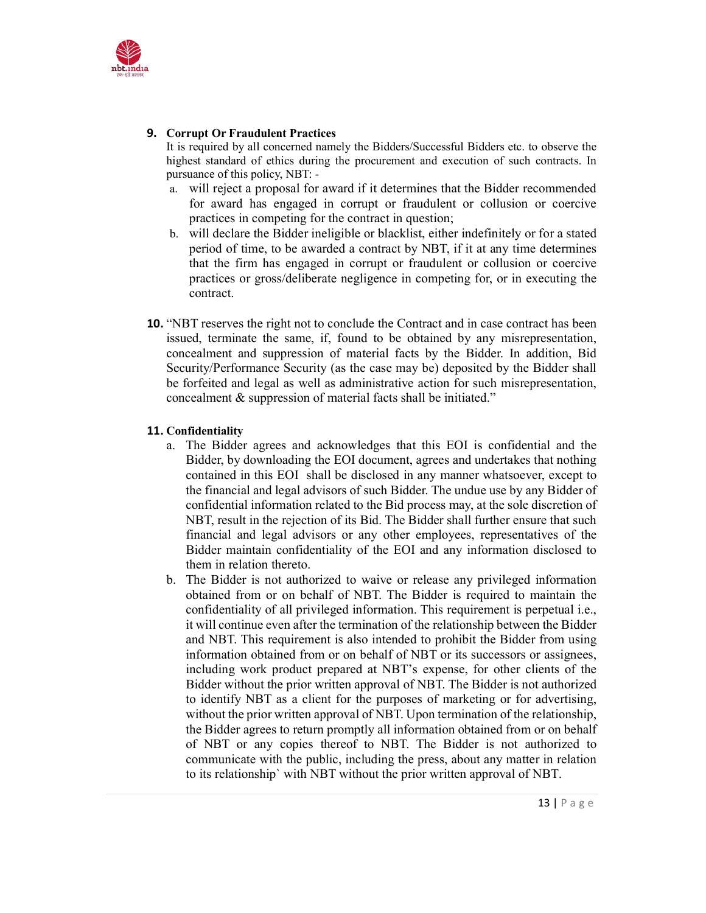

#### 9. Corrupt Or Fraudulent Practices

It is required by all concerned namely the Bidders/Successful Bidders etc. to observe the highest standard of ethics during the procurement and execution of such contracts. In pursuance of this policy, NBT: -

- a. will reject a proposal for award if it determines that the Bidder recommended for award has engaged in corrupt or fraudulent or collusion or coercive practices in competing for the contract in question;
- b. will declare the Bidder ineligible or blacklist, either indefinitely or for a stated period of time, to be awarded a contract by NBT, if it at any time determines that the firm has engaged in corrupt or fraudulent or collusion or coercive practices or gross/deliberate negligence in competing for, or in executing the contract.
- 10. "NBT reserves the right not to conclude the Contract and in case contract has been issued, terminate the same, if, found to be obtained by any misrepresentation, concealment and suppression of material facts by the Bidder. In addition, Bid Security/Performance Security (as the case may be) deposited by the Bidder shall be forfeited and legal as well as administrative action for such misrepresentation, concealment & suppression of material facts shall be initiated."

### 11. Confidentiality

- a. The Bidder agrees and acknowledges that this EOI is confidential and the Bidder, by downloading the EOI document, agrees and undertakes that nothing contained in this EOI shall be disclosed in any manner whatsoever, except to the financial and legal advisors of such Bidder. The undue use by any Bidder of confidential information related to the Bid process may, at the sole discretion of NBT, result in the rejection of its Bid. The Bidder shall further ensure that such financial and legal advisors or any other employees, representatives of the Bidder maintain confidentiality of the EOI and any information disclosed to them in relation thereto.
- b. The Bidder is not authorized to waive or release any privileged information obtained from or on behalf of NBT. The Bidder is required to maintain the confidentiality of all privileged information. This requirement is perpetual i.e., it will continue even after the termination of the relationship between the Bidder and NBT. This requirement is also intended to prohibit the Bidder from using information obtained from or on behalf of NBT or its successors or assignees, including work product prepared at NBT's expense, for other clients of the Bidder without the prior written approval of NBT. The Bidder is not authorized to identify NBT as a client for the purposes of marketing or for advertising, without the prior written approval of NBT. Upon termination of the relationship, the Bidder agrees to return promptly all information obtained from or on behalf of NBT or any copies thereof to NBT. The Bidder is not authorized to communicate with the public, including the press, about any matter in relation to its relationship` with NBT without the prior written approval of NBT.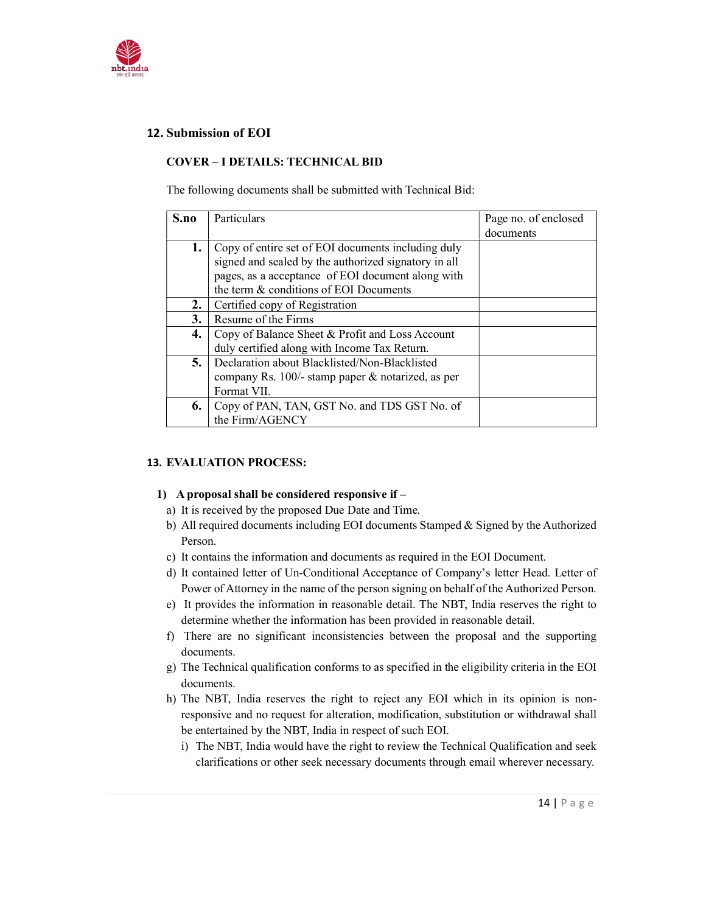

## 12. Submission of EOI

#### COVER – I DETAILS: TECHNICAL BID

The following documents shall be submitted with Technical Bid:

| S.no | Particulars<br>Page no. of enclosed                  |           |
|------|------------------------------------------------------|-----------|
|      |                                                      | documents |
| 1.   | Copy of entire set of EOI documents including duly   |           |
|      | signed and sealed by the authorized signatory in all |           |
|      | pages, as a acceptance of EOI document along with    |           |
|      | the term & conditions of EOI Documents               |           |
| 2.   | Certified copy of Registration                       |           |
| 3.   | Resume of the Firms                                  |           |
| 4.   | Copy of Balance Sheet & Profit and Loss Account      |           |
|      | duly certified along with Income Tax Return.         |           |
| 5.   | Declaration about Blacklisted/Non-Blacklisted        |           |
|      | company Rs. 100/- stamp paper & notarized, as per    |           |
|      | Format VII.                                          |           |
| 6.   | Copy of PAN, TAN, GST No. and TDS GST No. of         |           |
|      | the Firm/AGENCY                                      |           |

#### 13. EVALUATION PROCESS:

#### 1) A proposal shall be considered responsive if –

- a) It is received by the proposed Due Date and Time.
- b) All required documents including EOI documents Stamped & Signed by the Authorized Person.
- c) It contains the information and documents as required in the EOI Document.
- d) It contained letter of Un-Conditional Acceptance of Company's letter Head. Letter of Power of Attorney in the name of the person signing on behalf of the Authorized Person.
- e) It provides the information in reasonable detail. The NBT, India reserves the right to determine whether the information has been provided in reasonable detail.
- f) There are no significant inconsistencies between the proposal and the supporting documents.
- g) The Technical qualification conforms to as specified in the eligibility criteria in the EOI documents.
- h) The NBT, India reserves the right to reject any EOI which in its opinion is nonresponsive and no request for alteration, modification, substitution or withdrawal shall be entertained by the NBT, India in respect of such EOI.
	- i) The NBT, India would have the right to review the Technical Qualification and seek clarifications or other seek necessary documents through email wherever necessary.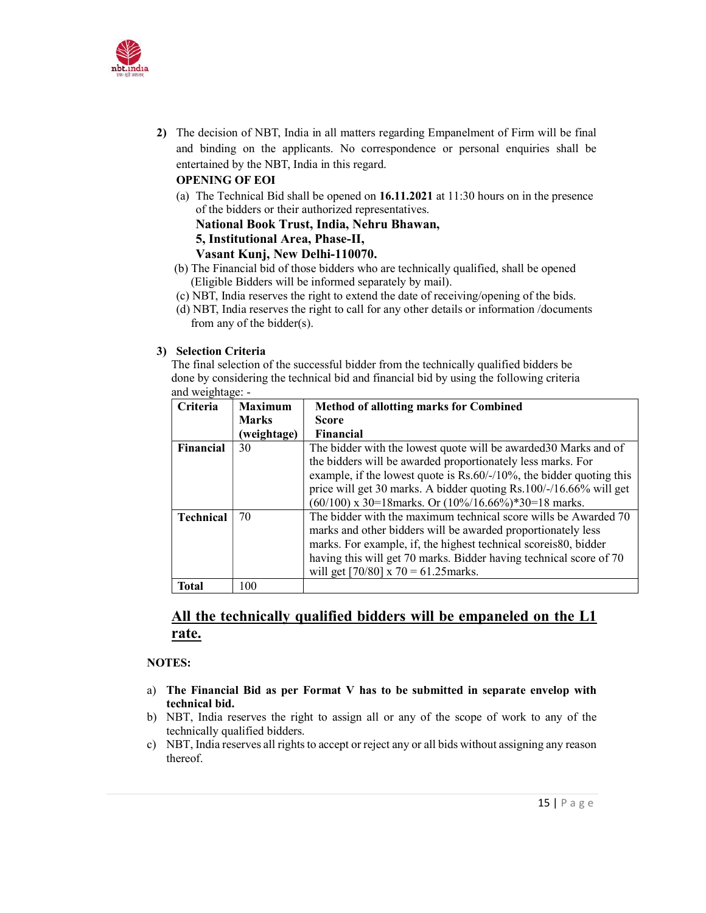

2) The decision of NBT, India in all matters regarding Empanelment of Firm will be final and binding on the applicants. No correspondence or personal enquiries shall be entertained by the NBT, India in this regard.

#### OPENING OF EOI

(a) The Technical Bid shall be opened on 16.11.2021 at 11:30 hours on in the presence of the bidders or their authorized representatives.

National Book Trust, India, Nehru Bhawan,

5, Institutional Area, Phase-II,

Vasant Kunj, New Delhi-110070.

- (b) The Financial bid of those bidders who are technically qualified, shall be opened (Eligible Bidders will be informed separately by mail).
- (c) NBT, India reserves the right to extend the date of receiving/opening of the bids.
- (d) NBT, India reserves the right to call for any other details or information /documents from any of the bidder(s).

#### 3) Selection Criteria

The final selection of the successful bidder from the technically qualified bidders be done by considering the technical bid and financial bid by using the following criteria and weightage: -

| Criteria         | <b>Maximum</b> | <b>Method of allotting marks for Combined</b>                            |  |
|------------------|----------------|--------------------------------------------------------------------------|--|
|                  | <b>Marks</b>   | <b>Score</b>                                                             |  |
|                  | (weightage)    | <b>Financial</b>                                                         |  |
| Financial        | 30             | The bidder with the lowest quote will be awarded 30 Marks and of         |  |
|                  |                | the bidders will be awarded proportionately less marks. For              |  |
|                  |                | example, if the lowest quote is $Rs.60/-/10\%$ , the bidder quoting this |  |
|                  |                | price will get 30 marks. A bidder quoting Rs.100/-/16.66% will get       |  |
|                  |                | $(60/100)$ x 30=18 marks. Or $(10\%/16.66\%)$ *30=18 marks.              |  |
| <b>Technical</b> | 70             | The bidder with the maximum technical score wills be Awarded 70          |  |
|                  |                | marks and other bidders will be awarded proportionately less             |  |
|                  |                | marks. For example, if, the highest technical scoreis80, bidder          |  |
|                  |                | having this will get 70 marks. Bidder having technical score of 70       |  |
|                  |                | will get $[70/80]$ x 70 = 61.25 marks.                                   |  |
| Total            | 100            |                                                                          |  |

## All the technically qualified bidders will be empaneled on the L1 rate.

#### NOTES:

- a) The Financial Bid as per Format V has to be submitted in separate envelop with technical bid.
- b) NBT, India reserves the right to assign all or any of the scope of work to any of the technically qualified bidders.
- c) NBT, India reserves all rights to accept or reject any or all bids without assigning any reason thereof.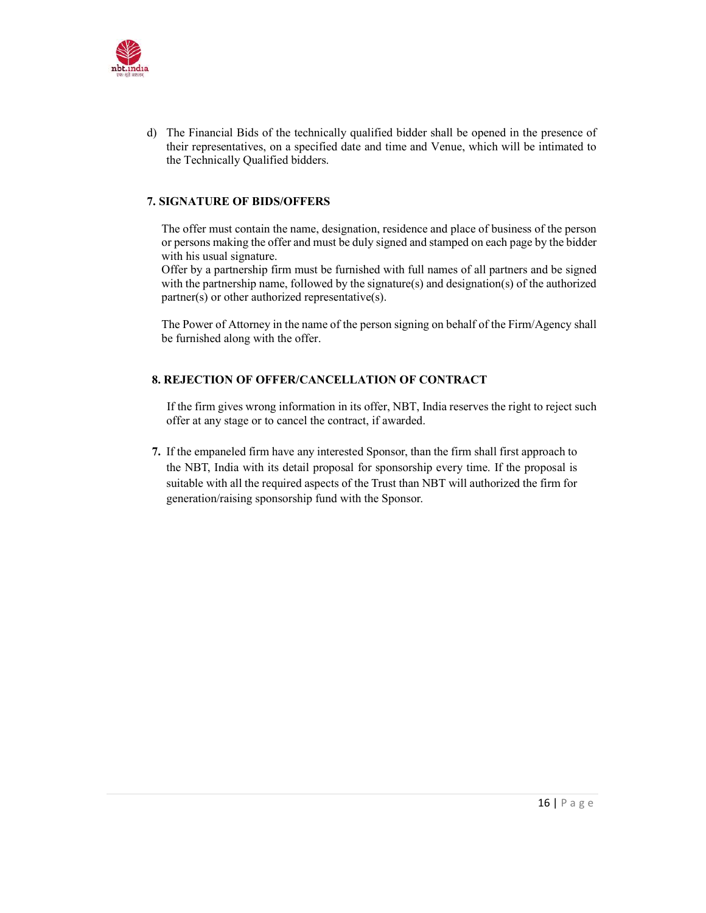

d) The Financial Bids of the technically qualified bidder shall be opened in the presence of their representatives, on a specified date and time and Venue, which will be intimated to the Technically Qualified bidders.

#### 7. SIGNATURE OF BIDS/OFFERS

The offer must contain the name, designation, residence and place of business of the person or persons making the offer and must be duly signed and stamped on each page by the bidder with his usual signature.

Offer by a partnership firm must be furnished with full names of all partners and be signed with the partnership name, followed by the signature(s) and designation(s) of the authorized partner(s) or other authorized representative(s).

The Power of Attorney in the name of the person signing on behalf of the Firm/Agency shall be furnished along with the offer.

## 8. REJECTION OF OFFER/CANCELLATION OF CONTRACT

 If the firm gives wrong information in its offer, NBT, India reserves the right to reject such offer at any stage or to cancel the contract, if awarded.

7. If the empaneled firm have any interested Sponsor, than the firm shall first approach to the NBT, India with its detail proposal for sponsorship every time. If the proposal is suitable with all the required aspects of the Trust than NBT will authorized the firm for generation/raising sponsorship fund with the Sponsor.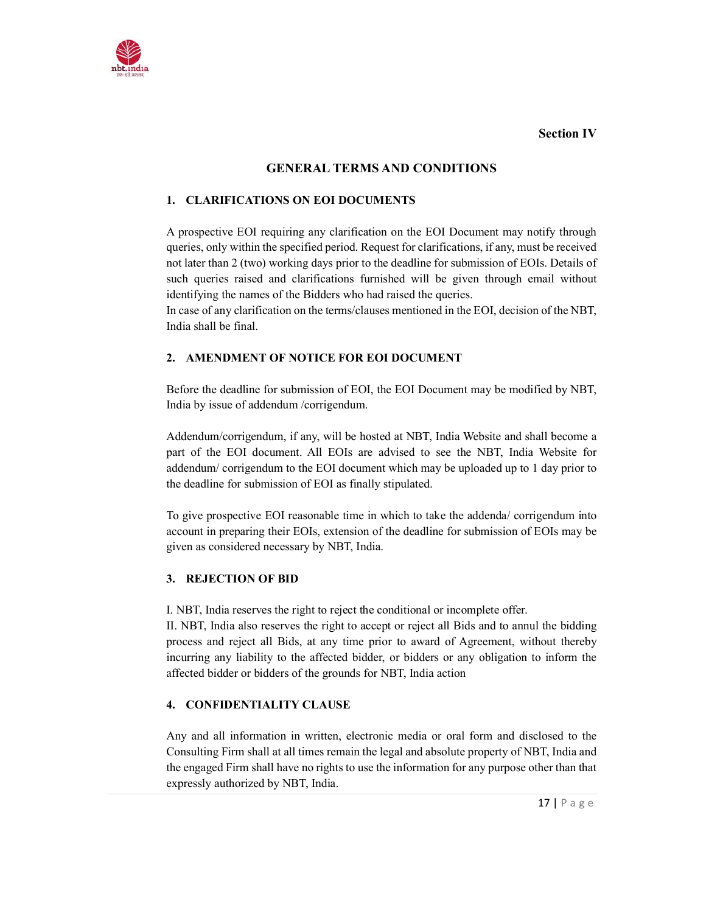Section IV



## GENERAL TERMS AND CONDITIONS

#### 1. CLARIFICATIONS ON EOI DOCUMENTS

A prospective EOI requiring any clarification on the EOI Document may notify through queries, only within the specified period. Request for clarifications, if any, must be received not later than 2 (two) working days prior to the deadline for submission of EOIs. Details of such queries raised and clarifications furnished will be given through email without identifying the names of the Bidders who had raised the queries.

In case of any clarification on the terms/clauses mentioned in the EOI, decision of the NBT, India shall be final.

### 2. AMENDMENT OF NOTICE FOR EOI DOCUMENT

Before the deadline for submission of EOI, the EOI Document may be modified by NBT, India by issue of addendum /corrigendum.

Addendum/corrigendum, if any, will be hosted at NBT, India Website and shall become a part of the EOI document. All EOIs are advised to see the NBT, India Website for addendum/ corrigendum to the EOI document which may be uploaded up to 1 day prior to the deadline for submission of EOI as finally stipulated.

To give prospective EOI reasonable time in which to take the addenda/ corrigendum into account in preparing their EOIs, extension of the deadline for submission of EOIs may be given as considered necessary by NBT, India.

#### 3. REJECTION OF BID

I. NBT, India reserves the right to reject the conditional or incomplete offer.

II. NBT, India also reserves the right to accept or reject all Bids and to annul the bidding process and reject all Bids, at any time prior to award of Agreement, without thereby incurring any liability to the affected bidder, or bidders or any obligation to inform the affected bidder or bidders of the grounds for NBT, India action

#### 4. CONFIDENTIALITY CLAUSE

Any and all information in written, electronic media or oral form and disclosed to the Consulting Firm shall at all times remain the legal and absolute property of NBT, India and the engaged Firm shall have no rights to use the information for any purpose other than that expressly authorized by NBT, India.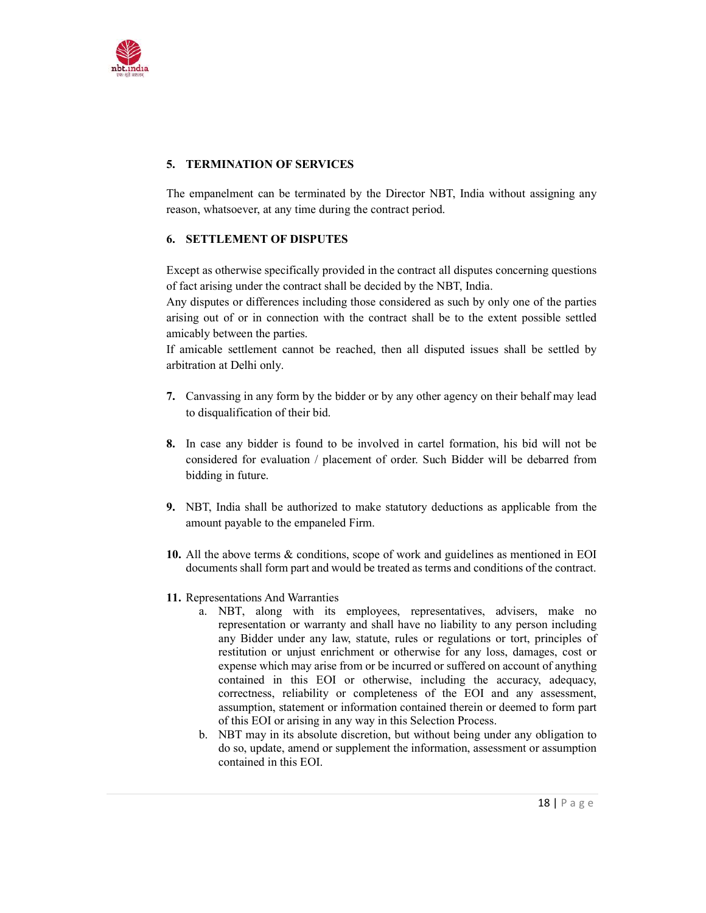

## 5. TERMINATION OF SERVICES

The empanelment can be terminated by the Director NBT, India without assigning any reason, whatsoever, at any time during the contract period.

#### 6. SETTLEMENT OF DISPUTES

Except as otherwise specifically provided in the contract all disputes concerning questions of fact arising under the contract shall be decided by the NBT, India.

Any disputes or differences including those considered as such by only one of the parties arising out of or in connection with the contract shall be to the extent possible settled amicably between the parties.

If amicable settlement cannot be reached, then all disputed issues shall be settled by arbitration at Delhi only.

- 7. Canvassing in any form by the bidder or by any other agency on their behalf may lead to disqualification of their bid.
- 8. In case any bidder is found to be involved in cartel formation, his bid will not be considered for evaluation / placement of order. Such Bidder will be debarred from bidding in future.
- 9. NBT, India shall be authorized to make statutory deductions as applicable from the amount payable to the empaneled Firm.
- 10. All the above terms & conditions, scope of work and guidelines as mentioned in EOI documents shall form part and would be treated as terms and conditions of the contract.
- 11. Representations And Warranties
	- a. NBT, along with its employees, representatives, advisers, make no representation or warranty and shall have no liability to any person including any Bidder under any law, statute, rules or regulations or tort, principles of restitution or unjust enrichment or otherwise for any loss, damages, cost or expense which may arise from or be incurred or suffered on account of anything contained in this EOI or otherwise, including the accuracy, adequacy, correctness, reliability or completeness of the EOI and any assessment, assumption, statement or information contained therein or deemed to form part of this EOI or arising in any way in this Selection Process.
	- b. NBT may in its absolute discretion, but without being under any obligation to do so, update, amend or supplement the information, assessment or assumption contained in this EOI.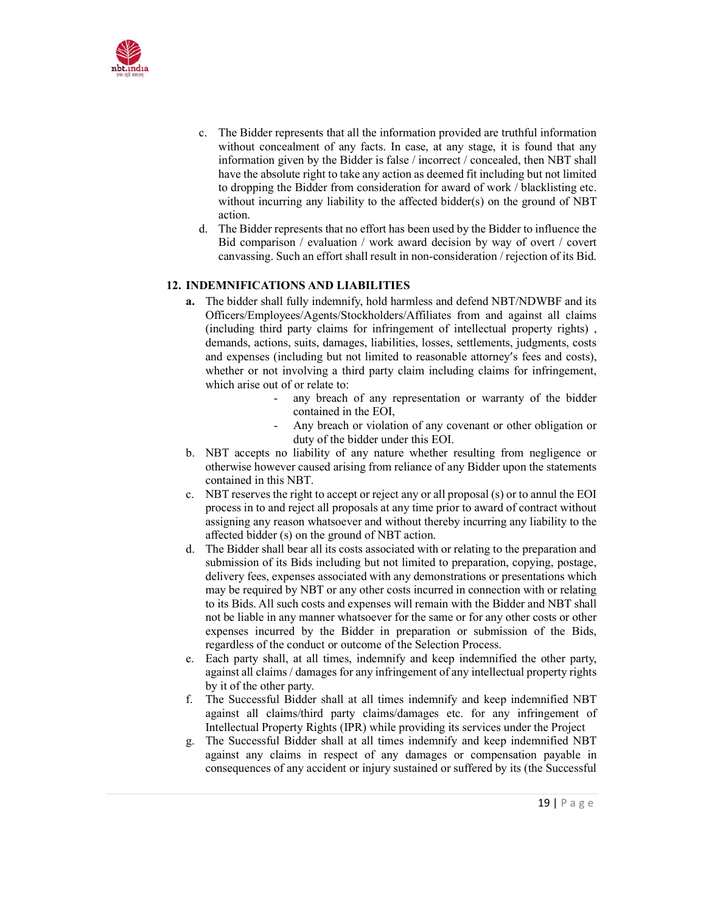

- c. The Bidder represents that all the information provided are truthful information without concealment of any facts. In case, at any stage, it is found that any information given by the Bidder is false / incorrect / concealed, then NBT shall have the absolute right to take any action as deemed fit including but not limited to dropping the Bidder from consideration for award of work / blacklisting etc. without incurring any liability to the affected bidder(s) on the ground of NBT action.
- d. The Bidder represents that no effort has been used by the Bidder to influence the Bid comparison / evaluation / work award decision by way of overt / covert canvassing. Such an effort shall result in non-consideration / rejection of its Bid.

#### 12. INDEMNIFICATIONS AND LIABILITIES

- a. The bidder shall fully indemnify, hold harmless and defend NBT/NDWBF and its Officers/Employees/Agents/Stockholders/Affiliates from and against all claims (including third party claims for infringement of intellectual property rights) , demands, actions, suits, damages, liabilities, losses, settlements, judgments, costs and expenses (including but not limited to reasonable attorney's fees and costs), whether or not involving a third party claim including claims for infringement, which arise out of or relate to:
	- any breach of any representation or warranty of the bidder contained in the EOI,
	- Any breach or violation of any covenant or other obligation or duty of the bidder under this EOI.
- b. NBT accepts no liability of any nature whether resulting from negligence or otherwise however caused arising from reliance of any Bidder upon the statements contained in this NBT.
- c. NBT reserves the right to accept or reject any or all proposal (s) or to annul the EOI process in to and reject all proposals at any time prior to award of contract without assigning any reason whatsoever and without thereby incurring any liability to the affected bidder (s) on the ground of NBT action.
- d. The Bidder shall bear all its costs associated with or relating to the preparation and submission of its Bids including but not limited to preparation, copying, postage, delivery fees, expenses associated with any demonstrations or presentations which may be required by NBT or any other costs incurred in connection with or relating to its Bids. All such costs and expenses will remain with the Bidder and NBT shall not be liable in any manner whatsoever for the same or for any other costs or other expenses incurred by the Bidder in preparation or submission of the Bids, regardless of the conduct or outcome of the Selection Process.
- e. Each party shall, at all times, indemnify and keep indemnified the other party, against all claims / damages for any infringement of any intellectual property rights by it of the other party.
- f. The Successful Bidder shall at all times indemnify and keep indemnified NBT against all claims/third party claims/damages etc. for any infringement of Intellectual Property Rights (IPR) while providing its services under the Project
- g. The Successful Bidder shall at all times indemnify and keep indemnified NBT against any claims in respect of any damages or compensation payable in consequences of any accident or injury sustained or suffered by its (the Successful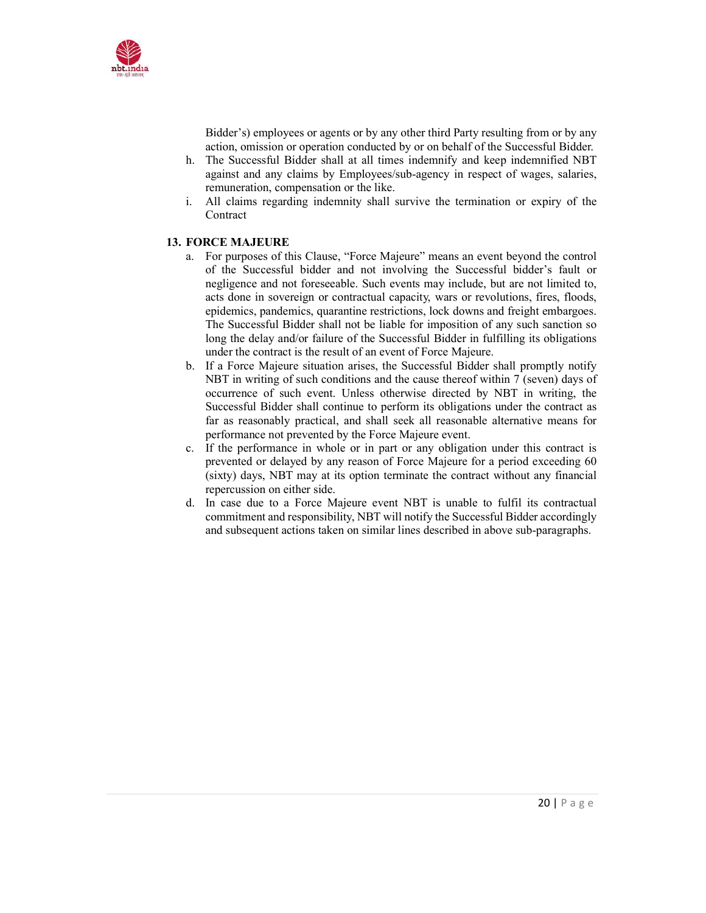

Bidder's) employees or agents or by any other third Party resulting from or by any action, omission or operation conducted by or on behalf of the Successful Bidder.

- h. The Successful Bidder shall at all times indemnify and keep indemnified NBT against and any claims by Employees/sub-agency in respect of wages, salaries, remuneration, compensation or the like.
- i. All claims regarding indemnity shall survive the termination or expiry of the Contract

#### 13. FORCE MAJEURE

- a. For purposes of this Clause, "Force Majeure" means an event beyond the control of the Successful bidder and not involving the Successful bidder's fault or negligence and not foreseeable. Such events may include, but are not limited to, acts done in sovereign or contractual capacity, wars or revolutions, fires, floods, epidemics, pandemics, quarantine restrictions, lock downs and freight embargoes. The Successful Bidder shall not be liable for imposition of any such sanction so long the delay and/or failure of the Successful Bidder in fulfilling its obligations under the contract is the result of an event of Force Majeure.
- b. If a Force Majeure situation arises, the Successful Bidder shall promptly notify NBT in writing of such conditions and the cause thereof within 7 (seven) days of occurrence of such event. Unless otherwise directed by NBT in writing, the Successful Bidder shall continue to perform its obligations under the contract as far as reasonably practical, and shall seek all reasonable alternative means for performance not prevented by the Force Majeure event.
- c. If the performance in whole or in part or any obligation under this contract is prevented or delayed by any reason of Force Majeure for a period exceeding 60 (sixty) days, NBT may at its option terminate the contract without any financial repercussion on either side.
- d. In case due to a Force Majeure event NBT is unable to fulfil its contractual commitment and responsibility, NBT will notify the Successful Bidder accordingly and subsequent actions taken on similar lines described in above sub-paragraphs.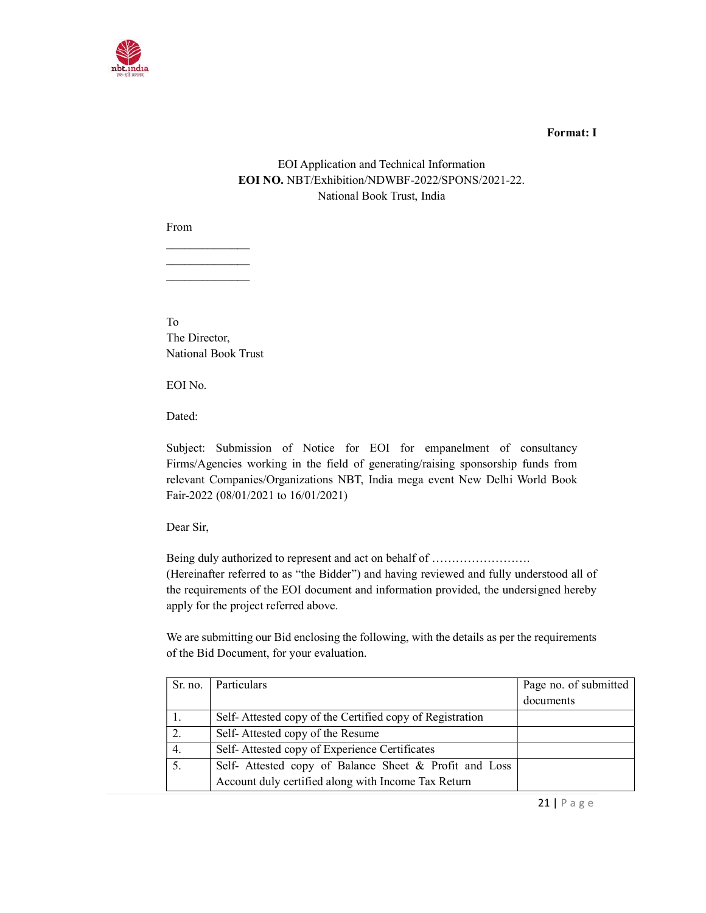

#### Format: I

## EOI Application and Technical Information EOI NO. NBT/Exhibition/NDWBF-2022/SPONS/2021-22. National Book Trust, India

From

To The Director, National Book Trust

 $\mathcal{L}=\mathcal{L}^{\mathcal{L}}$  $\mathcal{L}=\mathcal{L}^{\mathcal{L}}$  , where  $\mathcal{L}^{\mathcal{L}}$ 

EOI No.

Dated:

Subject: Submission of Notice for EOI for empanelment of consultancy Firms/Agencies working in the field of generating/raising sponsorship funds from relevant Companies/Organizations NBT, India mega event New Delhi World Book Fair-2022 (08/01/2021 to 16/01/2021)

Dear Sir,

Being duly authorized to represent and act on behalf of ........................ (Hereinafter referred to as "the Bidder") and having reviewed and fully understood all of the requirements of the EOI document and information provided, the undersigned hereby apply for the project referred above.

We are submitting our Bid enclosing the following, with the details as per the requirements of the Bid Document, for your evaluation.

| Sr. no. | Particulars                                              | Page no. of submitted |
|---------|----------------------------------------------------------|-----------------------|
|         |                                                          | documents             |
|         | Self-Attested copy of the Certified copy of Registration |                       |
| 2.      | Self-Attested copy of the Resume                         |                       |
| 4.      | Self-Attested copy of Experience Certificates            |                       |
| 5.      | Self- Attested copy of Balance Sheet & Profit and Loss   |                       |
|         | Account duly certified along with Income Tax Return      |                       |

21 | P a g e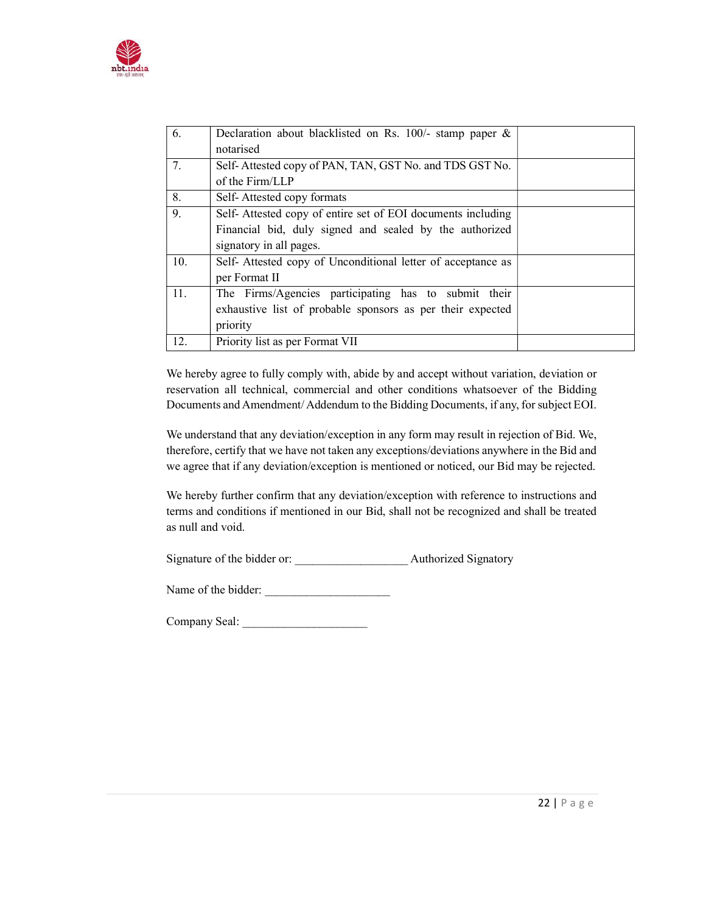

| 6.  | Declaration about blacklisted on Rs. 100/- stamp paper &     |  |
|-----|--------------------------------------------------------------|--|
|     | notarised                                                    |  |
| 7.  | Self-Attested copy of PAN, TAN, GST No. and TDS GST No.      |  |
|     | of the Firm/LLP                                              |  |
| 8.  | Self-Attested copy formats                                   |  |
| 9.  | Self- Attested copy of entire set of EOI documents including |  |
|     | Financial bid, duly signed and sealed by the authorized      |  |
|     | signatory in all pages.                                      |  |
| 10. | Self-Attested copy of Unconditional letter of acceptance as  |  |
|     | per Format II                                                |  |
| 11. | The Firms/Agencies participating has to submit their         |  |
|     | exhaustive list of probable sponsors as per their expected   |  |
|     | priority                                                     |  |
| 12. | Priority list as per Format VII                              |  |

We hereby agree to fully comply with, abide by and accept without variation, deviation or reservation all technical, commercial and other conditions whatsoever of the Bidding Documents and Amendment/ Addendum to the Bidding Documents, if any, for subject EOI.

We understand that any deviation/exception in any form may result in rejection of Bid. We, therefore, certify that we have not taken any exceptions/deviations anywhere in the Bid and we agree that if any deviation/exception is mentioned or noticed, our Bid may be rejected.

We hereby further confirm that any deviation/exception with reference to instructions and terms and conditions if mentioned in our Bid, shall not be recognized and shall be treated as null and void.

Signature of the bidder or: \_\_\_\_\_\_\_\_\_\_\_\_\_\_\_\_\_\_\_ Authorized Signatory

Name of the bidder:

Company Seal: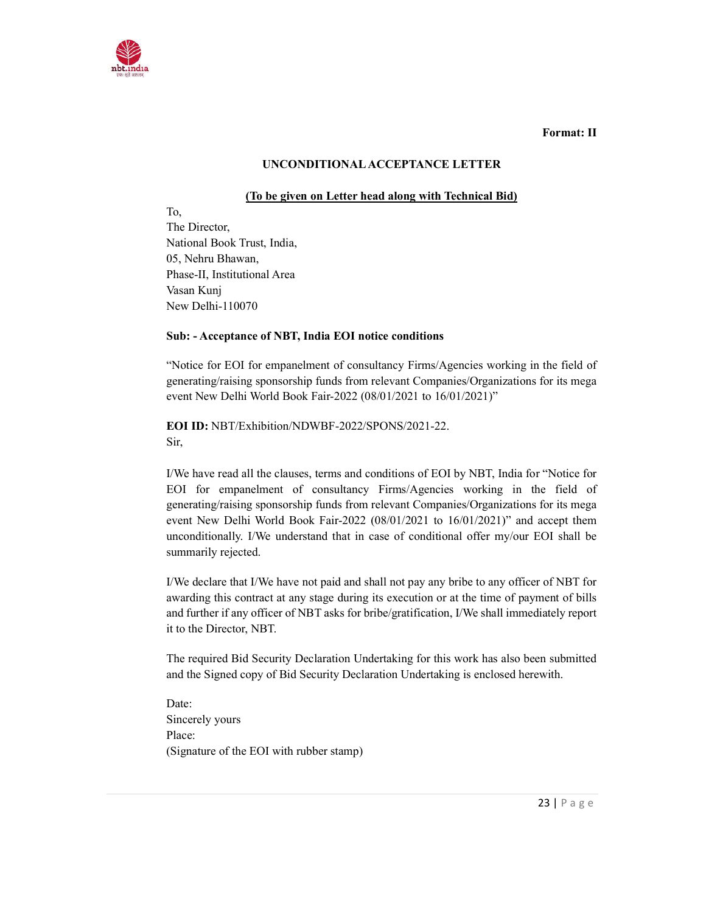

Format: II

#### UNCONDITIONAL ACCEPTANCE LETTER

#### (To be given on Letter head along with Technical Bid)

To, The Director, National Book Trust, India, 05, Nehru Bhawan, Phase-II, Institutional Area Vasan Kunj New Delhi-110070

#### Sub: - Acceptance of NBT, India EOI notice conditions

"Notice for EOI for empanelment of consultancy Firms/Agencies working in the field of generating/raising sponsorship funds from relevant Companies/Organizations for its mega event New Delhi World Book Fair-2022 (08/01/2021 to 16/01/2021)"

EOI ID: NBT/Exhibition/NDWBF-2022/SPONS/2021-22. Sir,

I/We have read all the clauses, terms and conditions of EOI by NBT, India for "Notice for EOI for empanelment of consultancy Firms/Agencies working in the field of generating/raising sponsorship funds from relevant Companies/Organizations for its mega event New Delhi World Book Fair-2022 (08/01/2021 to 16/01/2021)" and accept them unconditionally. I/We understand that in case of conditional offer my/our EOI shall be summarily rejected.

I/We declare that I/We have not paid and shall not pay any bribe to any officer of NBT for awarding this contract at any stage during its execution or at the time of payment of bills and further if any officer of NBT asks for bribe/gratification, I/We shall immediately report it to the Director, NBT.

The required Bid Security Declaration Undertaking for this work has also been submitted and the Signed copy of Bid Security Declaration Undertaking is enclosed herewith.

Date: Sincerely yours Place: (Signature of the EOI with rubber stamp)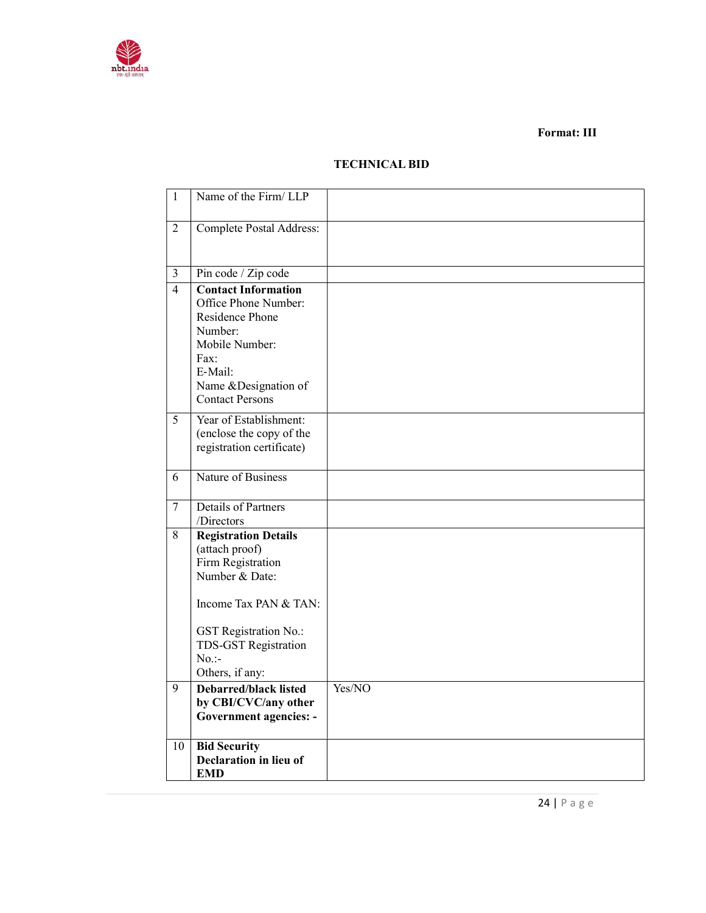

#### Format: III

## TECHNICAL BID

| $\mathbf{1}$   | Name of the Firm/LLP                                                                                                                                                                                                                                                                          |        |
|----------------|-----------------------------------------------------------------------------------------------------------------------------------------------------------------------------------------------------------------------------------------------------------------------------------------------|--------|
| $\overline{2}$ | Complete Postal Address:                                                                                                                                                                                                                                                                      |        |
| $\overline{3}$ | Pin code / Zip code                                                                                                                                                                                                                                                                           |        |
| $\overline{4}$ | <b>Contact Information</b><br>Office Phone Number:<br>Residence Phone<br>Number:<br>Mobile Number:<br>Fax:<br>E-Mail:<br>Name &Designation of<br>Contact Persons                                                                                                                              |        |
| 5              | Year of Establishment:<br>(enclose the copy of the<br>registration certificate)                                                                                                                                                                                                               |        |
| 6              | Nature of Business                                                                                                                                                                                                                                                                            |        |
| $\overline{7}$ | Details of Partners<br>/Directors                                                                                                                                                                                                                                                             |        |
| 8<br>9         | <b>Registration Details</b><br>(attach proof)<br>Firm Registration<br>Number & Date:<br>Income Tax PAN & TAN:<br><b>GST Registration No.:</b><br>TDS-GST Registration<br>$No.$ :-<br>Others, if any:<br><b>Debarred/black listed</b><br>by CBI/CVC/any other<br><b>Government agencies: -</b> | Yes/NO |
| 10             | <b>Bid Security</b>                                                                                                                                                                                                                                                                           |        |
|                | Declaration in lieu of<br><b>EMD</b>                                                                                                                                                                                                                                                          |        |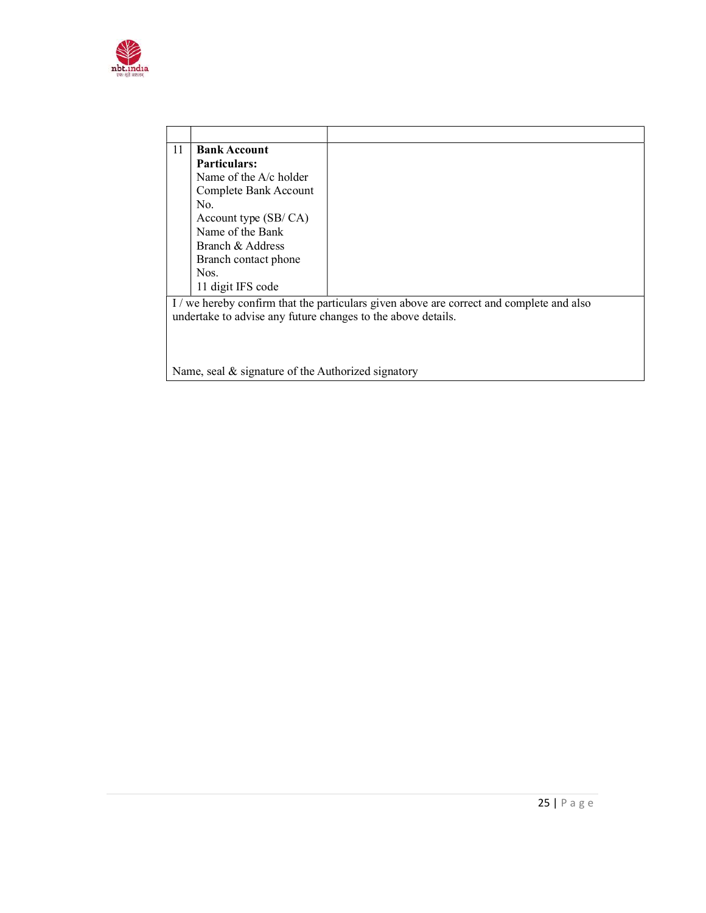

| 11 | <b>Bank Account</b>                                          |                                                                                          |
|----|--------------------------------------------------------------|------------------------------------------------------------------------------------------|
|    | <b>Particulars:</b>                                          |                                                                                          |
|    | Name of the $A/c$ holder                                     |                                                                                          |
|    | Complete Bank Account                                        |                                                                                          |
|    | No.                                                          |                                                                                          |
|    | Account type $(SB/CA)$                                       |                                                                                          |
|    | Name of the Bank                                             |                                                                                          |
|    | Branch & Address                                             |                                                                                          |
|    | Branch contact phone                                         |                                                                                          |
|    | Nos.                                                         |                                                                                          |
|    | 11 digit IFS code                                            |                                                                                          |
|    |                                                              | I / we hereby confirm that the particulars given above are correct and complete and also |
|    | undertake to advise any future changes to the above details. |                                                                                          |
|    |                                                              |                                                                                          |
|    |                                                              |                                                                                          |
|    |                                                              |                                                                                          |
|    | Name, seal $\&$ signature of the Authorized signatory        |                                                                                          |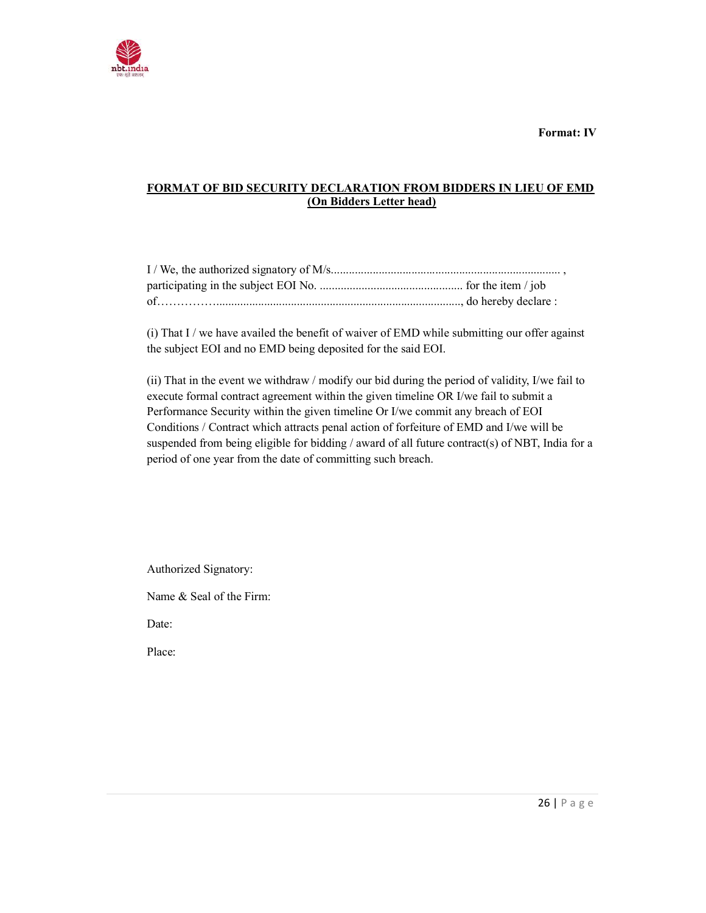

Format: IV

## FORMAT OF BID SECURITY DECLARATION FROM BIDDERS IN LIEU OF EMD (On Bidders Letter head)

(i) That I / we have availed the benefit of waiver of EMD while submitting our offer against the subject EOI and no EMD being deposited for the said EOI.

(ii) That in the event we withdraw / modify our bid during the period of validity, I/we fail to execute formal contract agreement within the given timeline OR I/we fail to submit a Performance Security within the given timeline Or I/we commit any breach of EOI Conditions / Contract which attracts penal action of forfeiture of EMD and I/we will be suspended from being eligible for bidding / award of all future contract(s) of NBT, India for a period of one year from the date of committing such breach.

Authorized Signatory:

Name & Seal of the Firm:

Date:

Place: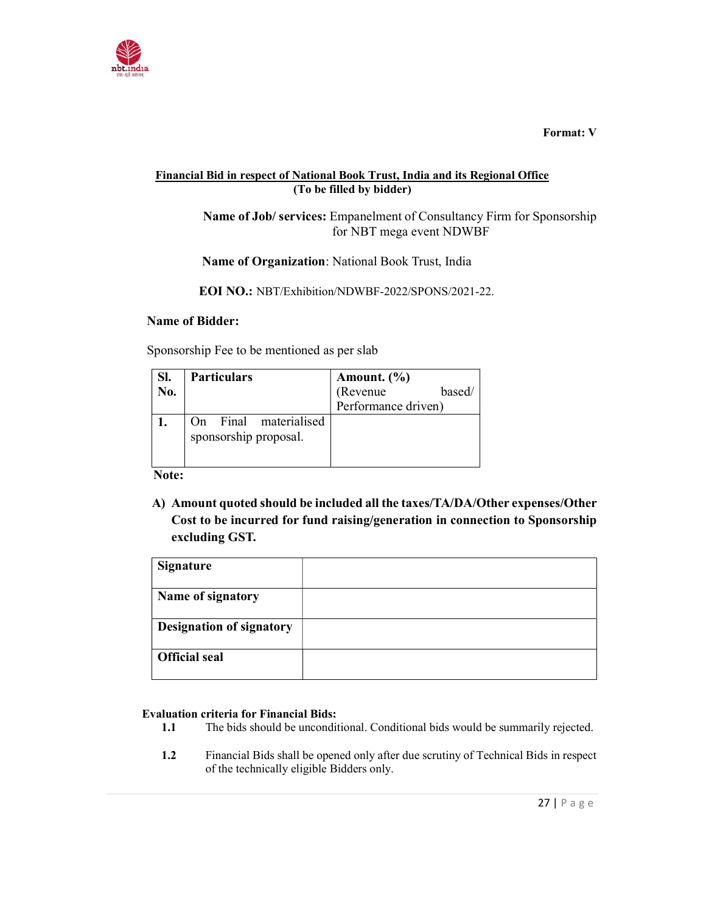

Format: V

## Financial Bid in respect of National Book Trust, India and its Regional Office (To be filled by bidder)

 Name of Job/ services: Empanelment of Consultancy Firm for Sponsorship for NBT mega event NDWBF

Name of Organization: National Book Trust, India

EOI NO.: NBT/Exhibition/NDWBF-2022/SPONS/2021-22.

### Name of Bidder:

Sponsorship Fee to be mentioned as per slab

| SI.<br>No. | <b>Particulars</b>                             | Amount. $(\% )$<br>(Revenue<br>based/<br>Performance driven) |
|------------|------------------------------------------------|--------------------------------------------------------------|
|            | On Final materialised<br>sponsorship proposal. |                                                              |

Note:

A) Amount quoted should be included all the taxes/TA/DA/Other expenses/Other Cost to be incurred for fund raising/generation in connection to Sponsorship excluding GST.

| <b>Signature</b>                |  |
|---------------------------------|--|
|                                 |  |
| Name of signatory               |  |
|                                 |  |
| <b>Designation of signatory</b> |  |
| <b>Official seal</b>            |  |

## Evaluation criteria for Financial Bids:

- 1.1 The bids should be unconditional. Conditional bids would be summarily rejected.
- 1.2 Financial Bids shall be opened only after due scrutiny of Technical Bids in respect of the technically eligible Bidders only.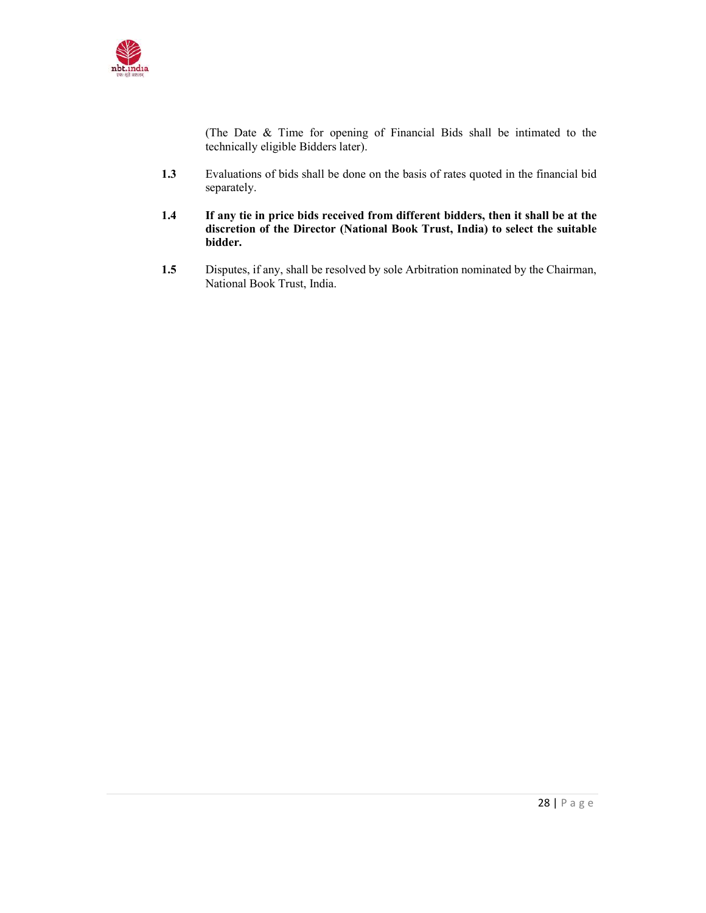

(The Date & Time for opening of Financial Bids shall be intimated to the technically eligible Bidders later).

- 1.3 Evaluations of bids shall be done on the basis of rates quoted in the financial bid separately.
- 1.4 If any tie in price bids received from different bidders, then it shall be at the discretion of the Director (National Book Trust, India) to select the suitable bidder.
- 1.5 Disputes, if any, shall be resolved by sole Arbitration nominated by the Chairman, National Book Trust, India.